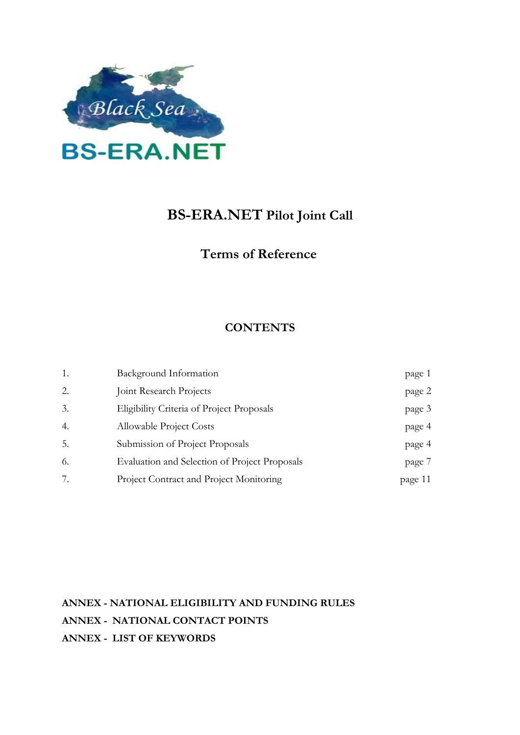

# **BS-ERA.NET Pilot Joint Call**

# **Terms of Reference**

# **CONTENTS**

| 1. | Background Information                        | page 1  |
|----|-----------------------------------------------|---------|
| 2. | Joint Research Projects                       | page 2  |
| 3. | Eligibility Criteria of Project Proposals     | page 3  |
| 4. | <b>Allowable Project Costs</b>                | page 4  |
| 5. | Submission of Project Proposals               | page 4  |
| 6. | Evaluation and Selection of Project Proposals | page 7  |
| 7. | Project Contract and Project Monitoring       | page 11 |

**ANNEX - NATIONAL ELIGIBILITY AND FUNDING RULES ANNEX - NATIONAL CONTACT POINTS ANNEX - LIST OF KEYWORDS**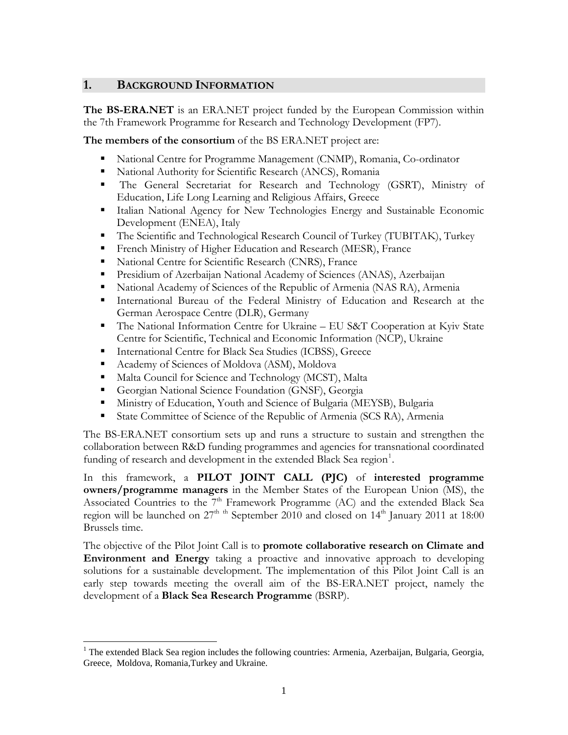#### **1. BACKGROUND INFORMATION**

**The BS-ERA.NET** is an ERA.NET project funded by the European Commission within the 7th Framework Programme for Research and Technology Development (FP7).

**The members of the consortium** of the BS ERA.NET project are:

- National Centre for Programme Management (CNMP), Romania, Co-ordinator
- National Authority for Scientific Research (ANCS), Romania
- The General Secretariat for Research and Technology (GSRT), Ministry of Education, Life Long Learning and Religious Affairs, Greece
- Italian National Agency for New Technologies Energy and Sustainable Economic Development (ENEA), Italy
- The Scientific and Technological Research Council of Turkey (TUBITAK), Turkey
- French Ministry of Higher Education and Research (MESR), France
- National Centre for Scientific Research (CNRS), France
- Presidium of Azerbaijan National Academy of Sciences (ANAS), Azerbaijan
- National Academy of Sciences of the Republic of Armenia (NAS RA), Armenia
- International Bureau of the Federal Ministry of Education and Research at the German Aerospace Centre (DLR), Germany
- The National Information Centre for Ukraine EU S&T Cooperation at Kyiv State Centre for Scientific, Technical and Economic Information (NCP), Ukraine
- International Centre for Black Sea Studies (ICBSS), Greece
- Academy of Sciences of Moldova (ASM), Moldova

 $\overline{a}$ 

- Malta Council for Science and Technology (MCST), Malta
- Georgian National Science Foundation (GNSF), Georgia
- Ministry of Education, Youth and Science of Bulgaria (MEYSB), Bulgaria
- State Committee of Science of the Republic of Armenia (SCS RA), Armenia

The BS-ERA.NET consortium sets up and runs a structure to sustain and strengthen the collaboration between R&D funding programmes and agencies for transnational coordinated funding of research and development in the extended Black Sea region<sup>[1](#page-1-0)</sup>.

In this framework, a **PILOT JOINT CALL (PJC)** of **interested programme owners/programme managers** in the Member States of the European Union (MS), the Associated Countries to the 7<sup>th</sup> Framework Programme (AC) and the extended Black Sea region will be launched on  $27<sup>th</sup>$  <sup>th</sup> September 2010 and closed on  $14<sup>th</sup>$  January 2011 at 18:00 Brussels time.

The objective of the Pilot Joint Call is to **promote collaborative research on Climate and Environment and Energy** taking a proactive and innovative approach to developing solutions for a sustainable development. The implementation of this Pilot Joint Call is an early step towards meeting the overall aim of the BS-ERA.NET project, namely the development of a **Black Sea Research Programme** (BSRP).

<span id="page-1-0"></span><sup>&</sup>lt;sup>1</sup> The extended Black Sea region includes the following countries: Armenia, Azerbaijan, Bulgaria, Georgia, Greece, Moldova, Romania,Turkey and Ukraine.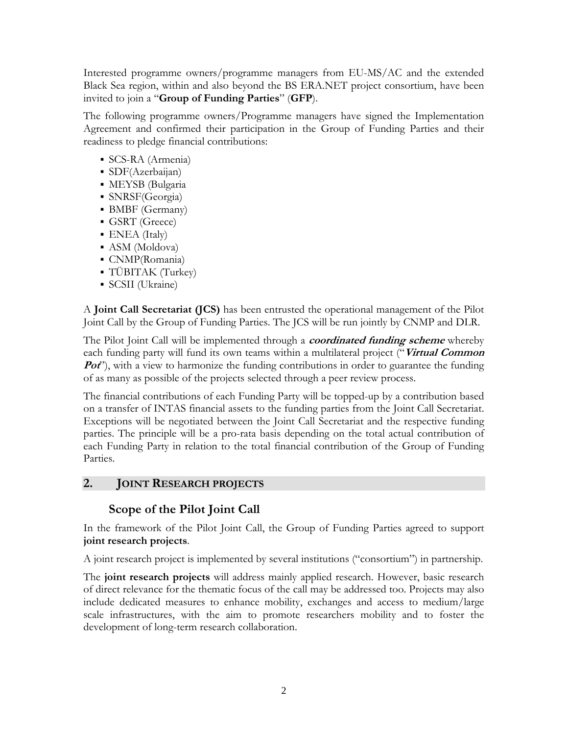Interested programme owners/programme managers from EU-MS/AC and the extended Black Sea region, within and also beyond the BS ERA.NET project consortium, have been invited to join a "**Group of Funding Parties**" (**GFP**).

The following programme owners/Programme managers have signed the Implementation Agreement and confirmed their participation in the Group of Funding Parties and their readiness to pledge financial contributions:

- SCS-RA (Armenia)
- SDF(Azerbaijan)
- MEYSB (Bulgaria
- SNRSF(Georgia)
- BMBF (Germany)
- GSRT (Greece)
- ENEA (Italy)
- ASM (Moldova)
- CNMP(Romania)
- TÜBITAK (Turkey)
- SCSII (Ukraine)

A **Joint Call Secretariat (JCS)** has been entrusted the operational management of the Pilot Joint Call by the Group of Funding Parties. The JCS will be run jointly by CNMP and DLR.

The Pilot Joint Call will be implemented through a **coordinated funding scheme** whereby each funding party will fund its own teams within a multilateral project ("**Virtual Common Pot**"), with a view to harmonize the funding contributions in order to guarantee the funding of as many as possible of the projects selected through a peer review process.

The financial contributions of each Funding Party will be topped-up by a contribution based on a transfer of INTAS financial assets to the funding parties from the Joint Call Secretariat. Exceptions will be negotiated between the Joint Call Secretariat and the respective funding parties. The principle will be a pro-rata basis depending on the total actual contribution of each Funding Party in relation to the total financial contribution of the Group of Funding Parties.

# **2. JOINT RESEARCH PROJECTS**

# **Scope of the Pilot Joint Call**

In the framework of the Pilot Joint Call, the Group of Funding Parties agreed to support **joint research projects**.

A joint research project is implemented by several institutions ("consortium") in partnership.

The **joint research projects** will address mainly applied research. However, basic research of direct relevance for the thematic focus of the call may be addressed too. Projects may also include dedicated measures to enhance mobility, exchanges and access to medium/large scale infrastructures, with the aim to promote researchers mobility and to foster the development of long-term research collaboration.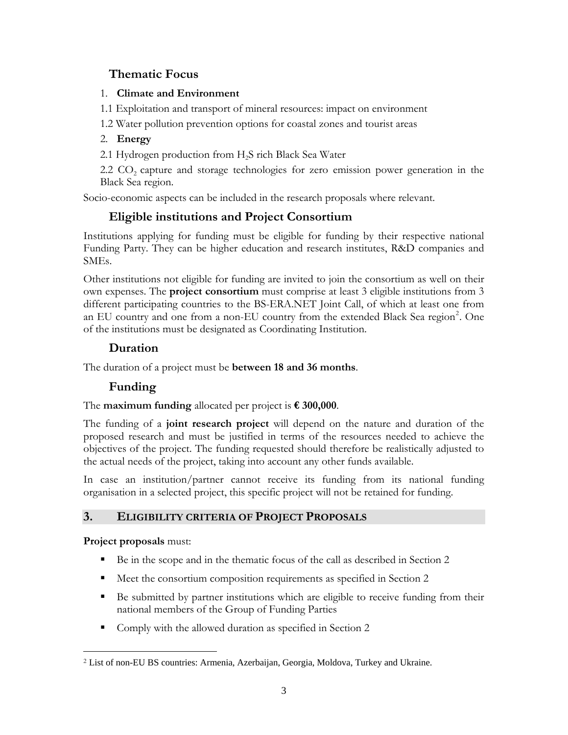# <span id="page-3-0"></span> **Thematic Focus**

#### 1. **Climate and Environment**

1.1 Exploitation and transport of mineral resources: impact on environment

1.2 Water pollution prevention options for coastal zones and tourist areas

### 2. **Energy**

2.1 Hydrogen production from  $H<sub>2</sub>S$  rich Black Sea Water

 $2.2 \text{ CO}_2$  capture and storage technologies for zero emission power generation in the Black Sea region.

Socio-economic aspects can be included in the research proposals where relevant.

# **Eligible institutions and Project Consortium**

Institutions applying for funding must be eligible for funding by their respective national Funding Party. They can be higher education and research institutes, R&D companies and SMEs.

Other institutions not eligible for funding are invited to join the consortium as well on their own expenses. The **project consortium** must comprise at least 3 eligible institutions from 3 different participating countries to the BS-ERA.NET Joint Call, of which at least one from an EU country and one from a non-EU country from the extended Black Sea region<sup>[2](#page-3-0)</sup>. One of the institutions must be designated as Coordinating Institution.

# **Duration**

The duration of a project must be **between 18 and 36 months**.

# **Funding**

The **maximum funding** allocated per project is **€ 300,000**.

The funding of a **joint research project** will depend on the nature and duration of the proposed research and must be justified in terms of the resources needed to achieve the objectives of the project. The funding requested should therefore be realistically adjusted to the actual needs of the project, taking into account any other funds available.

In case an institution/partner cannot receive its funding from its national funding organisation in a selected project, this specific project will not be retained for funding.

# **3. ELIGIBILITY CRITERIA OF PROJECT PROPOSALS**

**Project proposals** must:

 $\overline{a}$ 

- Be in the scope and in the thematic focus of the call as described in Section 2
- Meet the consortium composition requirements as specified in Section 2
- Be submitted by partner institutions which are eligible to receive funding from their national members of the Group of Funding Parties
- Comply with the allowed duration as specified in Section 2

<sup>2</sup> List of non-EU BS countries: Armenia, Azerbaijan, Georgia, Moldova, Turkey and Ukraine.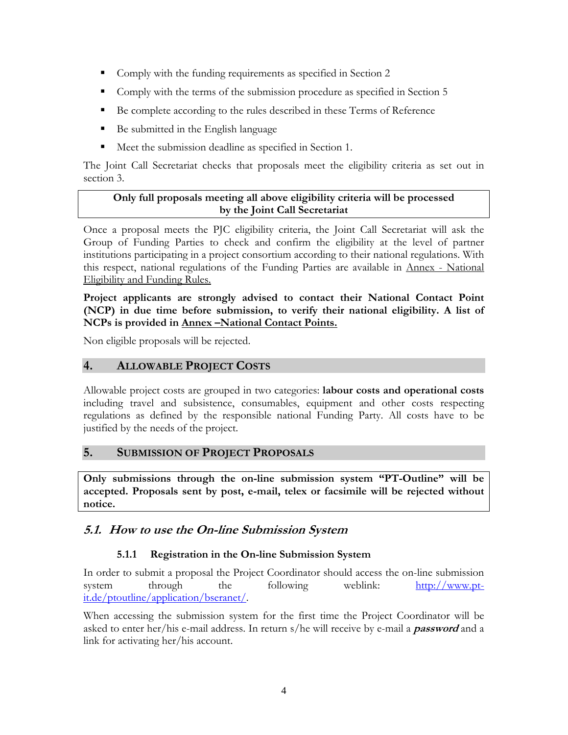- Comply with the funding requirements as specified in Section 2
- Comply with the terms of the submission procedure as specified in Section 5
- Be complete according to the rules described in these Terms of Reference
- Be submitted in the English language
- Meet the submission deadline as specified in Section 1.

The Joint Call Secretariat checks that proposals meet the eligibility criteria as set out in section 3.

#### **Only full proposals meeting all above eligibility criteria will be processed by the Joint Call Secretariat**

Once a proposal meets the PJC eligibility criteria, the Joint Call Secretariat will ask the Group of Funding Parties to check and confirm the eligibility at the level of partner institutions participating in a project consortium according to their national regulations. With this respect, national regulations of the Funding Parties are available in Annex - National Eligibility and Funding Rules.

#### **Project applicants are strongly advised to contact their National Contact Point (NCP) in due time before submission, to verify their national eligibility. A list of NCPs is provided in Annex –National Contact Points.**

Non eligible proposals will be rejected.

### **4. ALLOWABLE PROJECT COSTS**

Allowable project costs are grouped in two categories: **labour costs and operational costs**  including travel and subsistence, consumables, equipment and other costs respecting regulations as defined by the responsible national Funding Party. All costs have to be justified by the needs of the project.

#### **5. SUBMISSION OF PROJECT PROPOSALS**

**Only submissions through the on-line submission system "PT-Outline" will be accepted. Proposals sent by post, e-mail, telex or facsimile will be rejected without notice.**

# **5.1. How to use the On-line Submission System**

#### **5.1.1 Registration in the On-line Submission System**

In order to submit a proposal the Project Coordinator should access the on-line submission system through the following weblink: [http://www.pt](http://www.pt-it.de/ptoutline/application/bseranet/)[it.de/ptoutline/application/bseranet/.](http://www.pt-it.de/ptoutline/application/bseranet/)

When accessing the submission system for the first time the Project Coordinator will be asked to enter her/his e-mail address. In return s/he will receive by e-mail a **password** and a link for activating her/his account.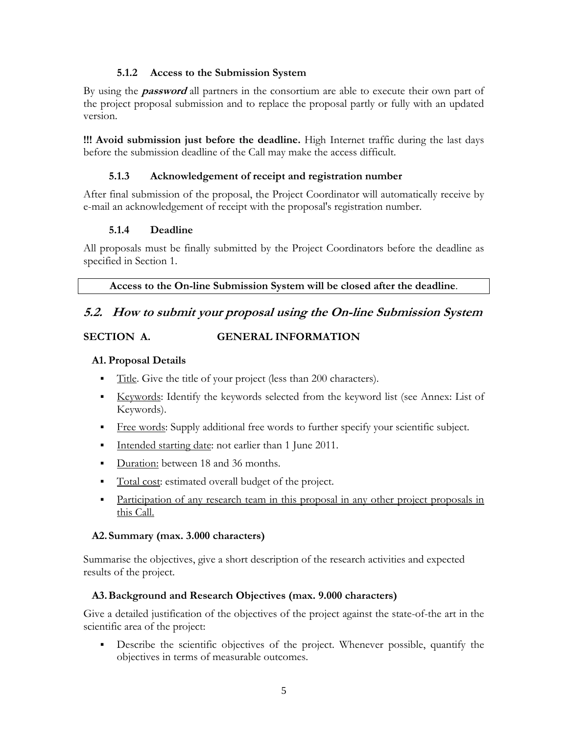#### **5.1.2 Access to the Submission System**

By using the **password** all partners in the consortium are able to execute their own part of the project proposal submission and to replace the proposal partly or fully with an updated version.

**!!! Avoid submission just before the deadline.** High Internet traffic during the last days before the submission deadline of the Call may make the access difficult.

#### **5.1.3 Acknowledgement of receipt and registration number**

After final submission of the proposal, the Project Coordinator will automatically receive by e-mail an acknowledgement of receipt with the proposal's registration number.

#### **5.1.4 Deadline**

All proposals must be finally submitted by the Project Coordinators before the deadline as specified in Section 1.

**Access to the On-line Submission System will be closed after the deadline**.

### **5.2. How to submit your proposal using the On-line Submission System**

#### **SECTION A. GENERAL INFORMATION**

#### **A1. Proposal Details**

- Title. Give the title of your project (less than 200 characters).
- Keywords: Identify the keywords selected from the keyword list (see Annex: List of Keywords).
- Free words: Supply additional free words to further specify your scientific subject.
- Intended starting date: not earlier than 1 June 2011.
- Duration: between 18 and 36 months.
- Total cost: estimated overall budget of the project.
- Participation of any research team in this proposal in any other project proposals in this Call.

#### **A2.Summary (max. 3.000 characters)**

Summarise the objectives, give a short description of the research activities and expected results of the project.

#### **A3.Background and Research Objectives (max. 9.000 characters)**

Give a detailed justification of the objectives of the project against the state-of-the art in the scientific area of the project:

Describe the scientific objectives of the project. Whenever possible, quantify the objectives in terms of measurable outcomes.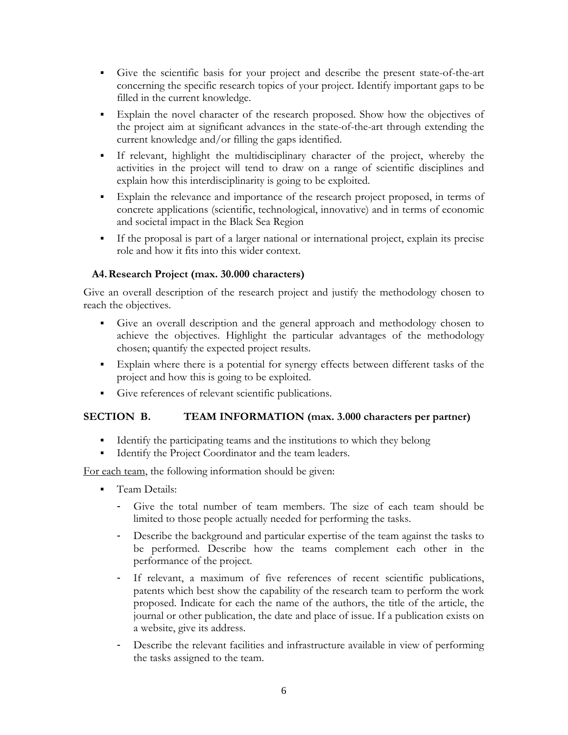- Give the scientific basis for your project and describe the present state-of-the-art concerning the specific research topics of your project. Identify important gaps to be filled in the current knowledge.
- Explain the novel character of the research proposed. Show how the objectives of the project aim at significant advances in the state-of-the-art through extending the current knowledge and/or filling the gaps identified.
- If relevant, highlight the multidisciplinary character of the project, whereby the activities in the project will tend to draw on a range of scientific disciplines and explain how this interdisciplinarity is going to be exploited.
- Explain the relevance and importance of the research project proposed, in terms of concrete applications (scientific, technological, innovative) and in terms of economic and societal impact in the Black Sea Region
- If the proposal is part of a larger national or international project, explain its precise role and how it fits into this wider context.

#### **A4.Research Project (max. 30.000 characters)**

Give an overall description of the research project and justify the methodology chosen to reach the objectives.

- Give an overall description and the general approach and methodology chosen to achieve the objectives. Highlight the particular advantages of the methodology chosen; quantify the expected project results.
- Explain where there is a potential for synergy effects between different tasks of the project and how this is going to be exploited.
- Give references of relevant scientific publications.

#### **SECTION B. TEAM INFORMATION (max. 3.000 characters per partner)**

- Identify the participating teams and the institutions to which they belong
- **Identify the Project Coordinator and the team leaders.**

For each team, the following information should be given:

- **Team Details:** 
	- Give the total number of team members. The size of each team should be limited to those people actually needed for performing the tasks.
	- Describe the background and particular expertise of the team against the tasks to be performed. Describe how the teams complement each other in the performance of the project.
	- If relevant, a maximum of five references of recent scientific publications, patents which best show the capability of the research team to perform the work proposed. Indicate for each the name of the authors, the title of the article, the journal or other publication, the date and place of issue. If a publication exists on a website, give its address.
	- Describe the relevant facilities and infrastructure available in view of performing the tasks assigned to the team.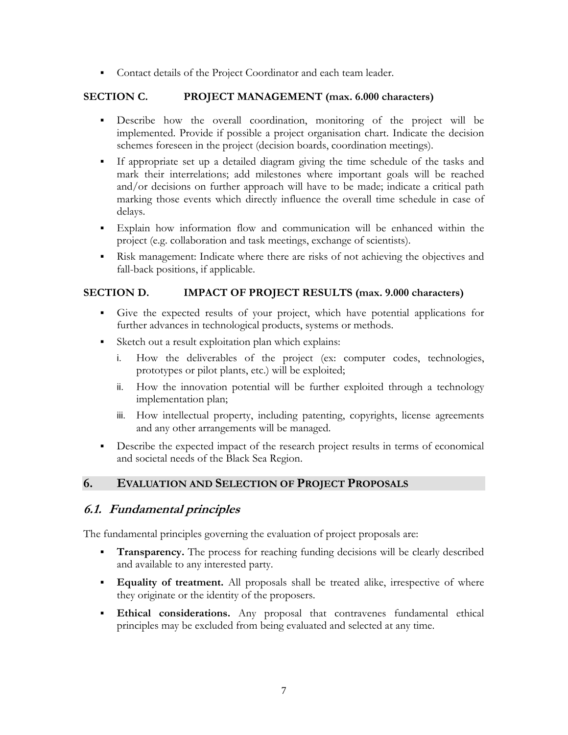• Contact details of the Project Coordinator and each team leader.

#### **SECTION C. PROJECT MANAGEMENT (max. 6.000 characters)**

- Describe how the overall coordination, monitoring of the project will be implemented. Provide if possible a project organisation chart. Indicate the decision schemes foreseen in the project (decision boards, coordination meetings).
- If appropriate set up a detailed diagram giving the time schedule of the tasks and mark their interrelations; add milestones where important goals will be reached and/or decisions on further approach will have to be made; indicate a critical path marking those events which directly influence the overall time schedule in case of delays.
- Explain how information flow and communication will be enhanced within the project (e.g. collaboration and task meetings, exchange of scientists).
- Risk management: Indicate where there are risks of not achieving the objectives and fall-back positions, if applicable.

#### **SECTION D. IMPACT OF PROJECT RESULTS (max. 9.000 characters)**

- Give the expected results of your project, which have potential applications for further advances in technological products, systems or methods.
- Sketch out a result exploitation plan which explains:
	- i. How the deliverables of the project (ex: computer codes, technologies, prototypes or pilot plants, etc.) will be exploited;
	- ii. How the innovation potential will be further exploited through a technology implementation plan;
	- iii. How intellectual property, including patenting, copyrights, license agreements and any other arrangements will be managed.
- Describe the expected impact of the research project results in terms of economical and societal needs of the Black Sea Region.

#### **6. EVALUATION AND SELECTION OF PROJECT PROPOSALS**

# **6.1. Fundamental principles**

The fundamental principles governing the evaluation of project proposals are:

- **Transparency.** The process for reaching funding decisions will be clearly described and available to any interested party.
- **Equality of treatment.** All proposals shall be treated alike, irrespective of where they originate or the identity of the proposers.
- **Ethical considerations.** Any proposal that contravenes fundamental ethical principles may be excluded from being evaluated and selected at any time.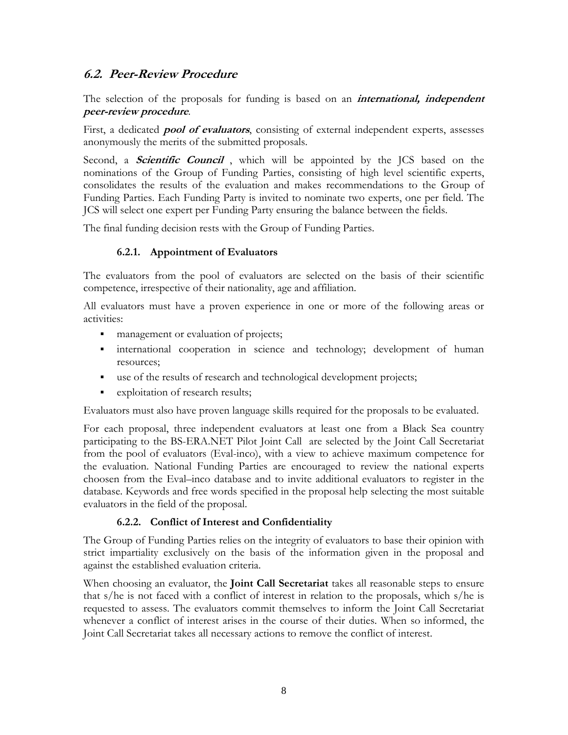### **6.2. Peer-Review Procedure**

The selection of the proposals for funding is based on an **international, independent peer-review procedure**.

First, a dedicated **pool of evaluators**, consisting of external independent experts, assesses anonymously the merits of the submitted proposals.

Second, a **Scientific Council** , which will be appointed by the JCS based on the nominations of the Group of Funding Parties, consisting of high level scientific experts, consolidates the results of the evaluation and makes recommendations to the Group of Funding Parties. Each Funding Party is invited to nominate two experts, one per field. The JCS will select one expert per Funding Party ensuring the balance between the fields.

The final funding decision rests with the Group of Funding Parties.

#### **6.2.1. Appointment of Evaluators**

The evaluators from the pool of evaluators are selected on the basis of their scientific competence, irrespective of their nationality, age and affiliation.

All evaluators must have a proven experience in one or more of the following areas or activities:

- **nanagement or evaluation of projects;**
- international cooperation in science and technology; development of human resources;
- use of the results of research and technological development projects;
- **Exploitation of research results;**

Evaluators must also have proven language skills required for the proposals to be evaluated.

For each proposal, three independent evaluators at least one from a Black Sea country participating to the BS-ERA.NET Pilot Joint Call are selected by the Joint Call Secretariat from the pool of evaluators (Eval-inco), with a view to achieve maximum competence for the evaluation. National Funding Parties are encouraged to review the national experts choosen from the Eval–inco database and to invite additional evaluators to register in the database. Keywords and free words specified in the proposal help selecting the most suitable evaluators in the field of the proposal.

#### **6.2.2. Conflict of Interest and Confidentiality**

The Group of Funding Parties relies on the integrity of evaluators to base their opinion with strict impartiality exclusively on the basis of the information given in the proposal and against the established evaluation criteria.

When choosing an evaluator, the **Joint Call Secretariat** takes all reasonable steps to ensure that s/he is not faced with a conflict of interest in relation to the proposals, which s/he is requested to assess. The evaluators commit themselves to inform the Joint Call Secretariat whenever a conflict of interest arises in the course of their duties. When so informed, the Joint Call Secretariat takes all necessary actions to remove the conflict of interest.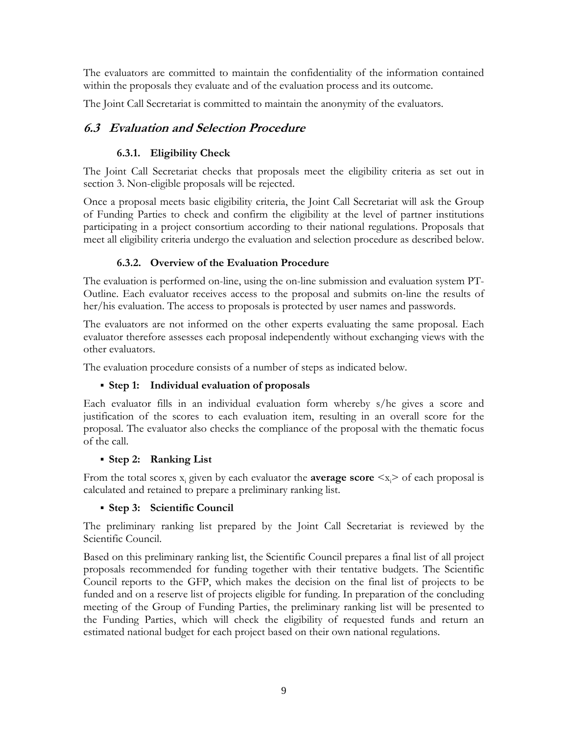The evaluators are committed to maintain the confidentiality of the information contained within the proposals they evaluate and of the evaluation process and its outcome.

The Joint Call Secretariat is committed to maintain the anonymity of the evaluators.

# **6.3 Evaluation and Selection Procedure**

# **6.3.1. Eligibility Check**

The Joint Call Secretariat checks that proposals meet the eligibility criteria as set out in section 3. Non-eligible proposals will be rejected.

Once a proposal meets basic eligibility criteria, the Joint Call Secretariat will ask the Group of Funding Parties to check and confirm the eligibility at the level of partner institutions participating in a project consortium according to their national regulations. Proposals that meet all eligibility criteria undergo the evaluation and selection procedure as described below.

# **6.3.2. Overview of the Evaluation Procedure**

The evaluation is performed on-line, using the on-line submission and evaluation system PT-Outline. Each evaluator receives access to the proposal and submits on-line the results of her/his evaluation. The access to proposals is protected by user names and passwords.

The evaluators are not informed on the other experts evaluating the same proposal. Each evaluator therefore assesses each proposal independently without exchanging views with the other evaluators.

The evaluation procedure consists of a number of steps as indicated below.

# **Step 1: Individual evaluation of proposals**

Each evaluator fills in an individual evaluation form whereby s/he gives a score and justification of the scores to each evaluation item, resulting in an overall score for the proposal. The evaluator also checks the compliance of the proposal with the thematic focus of the call.

# **Step 2: Ranking List**

From the total scores  $x_i$  given by each evaluator the **average score**  $\langle x_i \rangle$  of each proposal is calculated and retained to prepare a preliminary ranking list.

# **Step 3: Scientific Council**

The preliminary ranking list prepared by the Joint Call Secretariat is reviewed by the Scientific Council.

Based on this preliminary ranking list, the Scientific Council prepares a final list of all project proposals recommended for funding together with their tentative budgets. The Scientific Council reports to the GFP, which makes the decision on the final list of projects to be funded and on a reserve list of projects eligible for funding. In preparation of the concluding meeting of the Group of Funding Parties, the preliminary ranking list will be presented to the Funding Parties, which will check the eligibility of requested funds and return an estimated national budget for each project based on their own national regulations.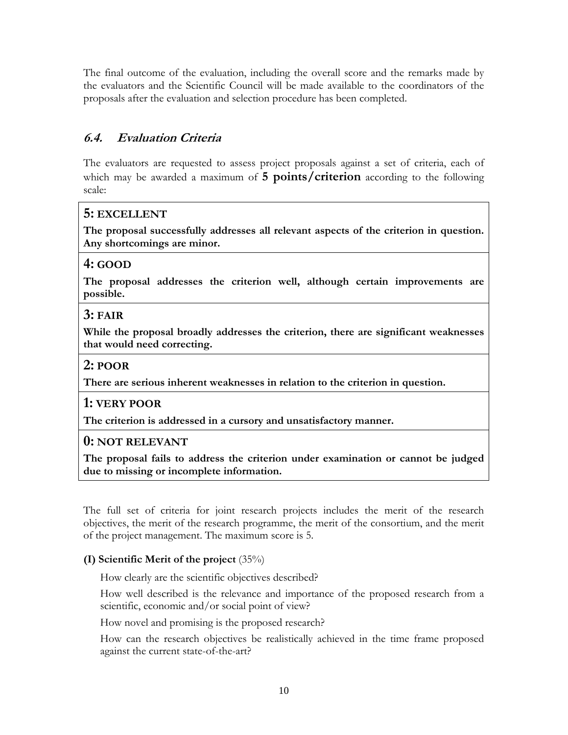The final outcome of the evaluation, including the overall score and the remarks made by the evaluators and the Scientific Council will be made available to the coordinators of the proposals after the evaluation and selection procedure has been completed.

# **6.4. Evaluation Criteria**

The evaluators are requested to assess project proposals against a set of criteria, each of which may be awarded a maximum of **5 points/criterion** according to the following scale:

# **5: EXCELLENT**

**The proposal successfully addresses all relevant aspects of the criterion in question. Any shortcomings are minor.** 

# **4: GOOD**

**The proposal addresses the criterion well, although certain improvements are possible.** 

# **3: FAIR**

**While the proposal broadly addresses the criterion, there are significant weaknesses that would need correcting.** 

### **2: POOR**

**There are serious inherent weaknesses in relation to the criterion in question.** 

# **1: VERY POOR**

**The criterion is addressed in a cursory and unsatisfactory manner.** 

# **0: NOT RELEVANT**

**The proposal fails to address the criterion under examination or cannot be judged due to missing or incomplete information.** 

The full set of criteria for joint research projects includes the merit of the research objectives, the merit of the research programme, the merit of the consortium, and the merit of the project management. The maximum score is 5.

# **(I) Scientific Merit of the project** (35%)

How clearly are the scientific objectives described?

How well described is the relevance and importance of the proposed research from a scientific, economic and/or social point of view?

How novel and promising is the proposed research?

How can the research objectives be realistically achieved in the time frame proposed against the current state-of-the-art?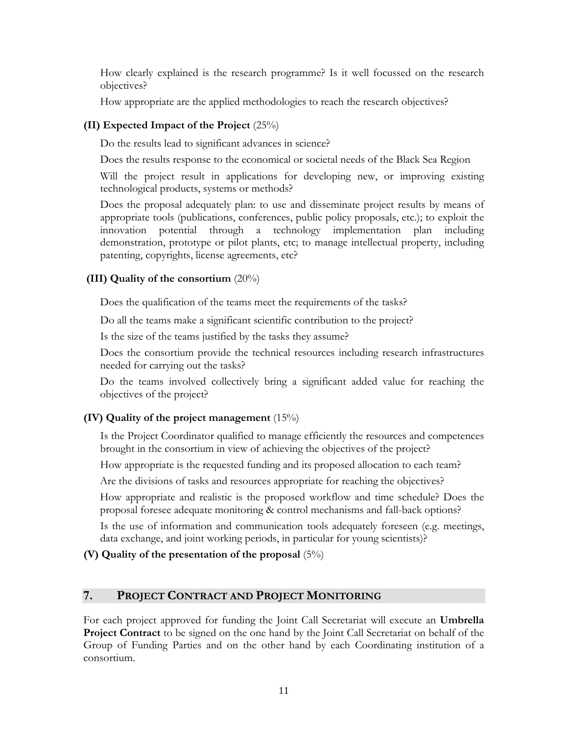How clearly explained is the research programme? Is it well focussed on the research objectives?

How appropriate are the applied methodologies to reach the research objectives?

#### **(II) Expected Impact of the Project** (25%)

Do the results lead to significant advances in science?

Does the results response to the economical or societal needs of the Black Sea Region

Will the project result in applications for developing new, or improving existing technological products, systems or methods?

Does the proposal adequately plan: to use and disseminate project results by means of appropriate tools (publications, conferences, public policy proposals, etc.); to exploit the innovation potential through a technology implementation plan including demonstration, prototype or pilot plants, etc; to manage intellectual property, including patenting, copyrights, license agreements, etc?

### **(III) Quality of the consortium** (20%)

Does the qualification of the teams meet the requirements of the tasks?

Do all the teams make a significant scientific contribution to the project?

Is the size of the teams justified by the tasks they assume?

Does the consortium provide the technical resources including research infrastructures needed for carrying out the tasks?

Do the teams involved collectively bring a significant added value for reaching the objectives of the project?

#### **(IV) Quality of the project management** (15%)

Is the Project Coordinator qualified to manage efficiently the resources and competences brought in the consortium in view of achieving the objectives of the project?

How appropriate is the requested funding and its proposed allocation to each team?

Are the divisions of tasks and resources appropriate for reaching the objectives?

How appropriate and realistic is the proposed workflow and time schedule? Does the proposal foresee adequate monitoring & control mechanisms and fall-back options?

Is the use of information and communication tools adequately foreseen (e.g. meetings, data exchange, and joint working periods, in particular for young scientists)?

# **(V) Quality of the presentation of the proposal** (5%)

# **7. PROJECT CONTRACT AND PROJECT MONITORING**

For each project approved for funding the Joint Call Secretariat will execute an **Umbrella Project Contract** to be signed on the one hand by the Joint Call Secretariat on behalf of the Group of Funding Parties and on the other hand by each Coordinating institution of a consortium.